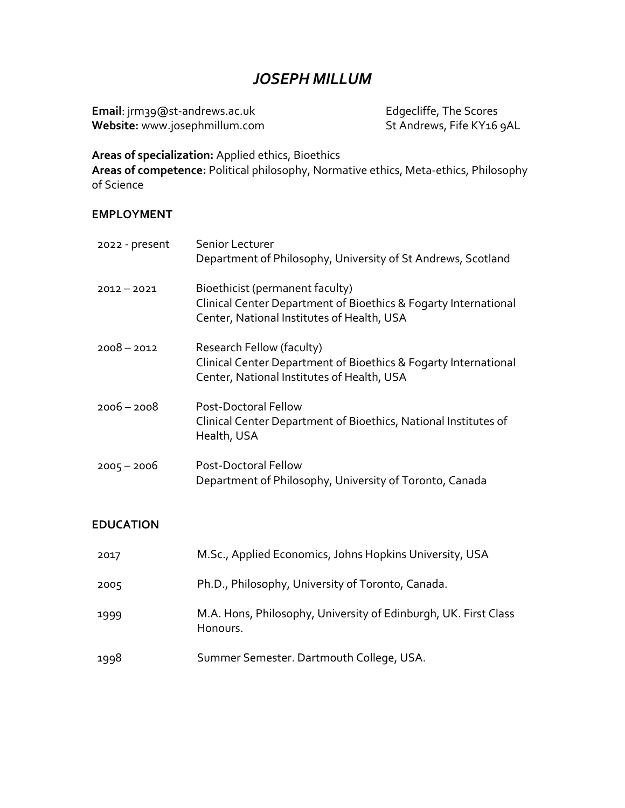# *JOSEPH MILLUM*

**Email**: jrm39@st-andrews.ac.uk Edgecliffe, The Scores **Website:** www.josephmillum.com

**Areas of specialization:** Applied ethics, Bioethics

**Areas of competence:** Political philosophy, Normative ethics, Meta-ethics, Philosophy of Science

### **EMPLOYMENT**

| 2022 - present | Senior Lecturer<br>Department of Philosophy, University of St Andrews, Scotland                                                                  |
|----------------|--------------------------------------------------------------------------------------------------------------------------------------------------|
| $2012 - 2021$  | Bioethicist (permanent faculty)<br>Clinical Center Department of Bioethics & Fogarty International<br>Center, National Institutes of Health, USA |
| $2008 - 2012$  | Research Fellow (faculty)<br>Clinical Center Department of Bioethics & Fogarty International<br>Center, National Institutes of Health, USA       |
| $2006 - 2008$  | Post-Doctoral Fellow<br>Clinical Center Department of Bioethics, National Institutes of<br>Health, USA                                           |
| $2005 - 2006$  | <b>Post-Doctoral Fellow</b><br>Department of Philosophy, University of Toronto, Canada                                                           |

### **EDUCATION**

| 2017 | M.Sc., Applied Economics, Johns Hopkins University, USA                     |
|------|-----------------------------------------------------------------------------|
| 2005 | Ph.D., Philosophy, University of Toronto, Canada.                           |
| 1999 | M.A. Hons, Philosophy, University of Edinburgh, UK. First Class<br>Honours. |
| 1998 | Summer Semester. Dartmouth College, USA.                                    |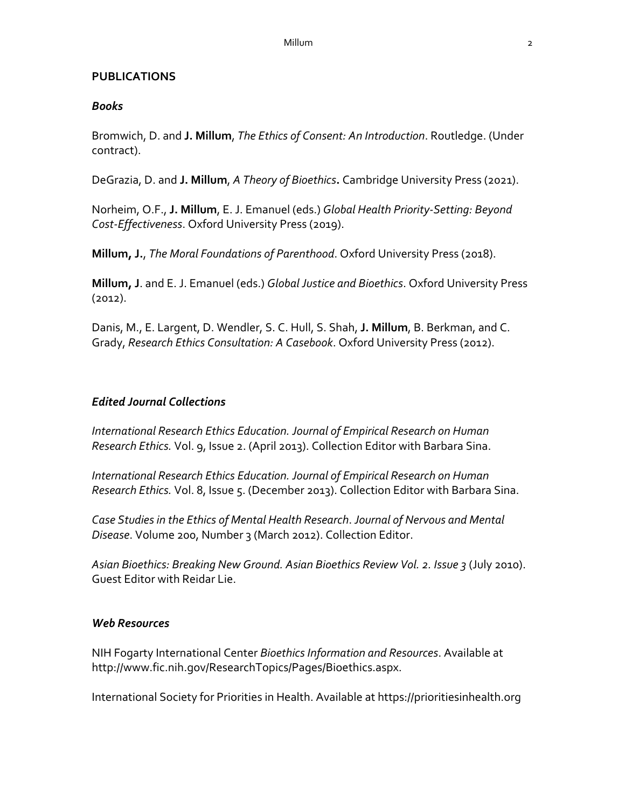### **PUBLICATIONS**

### *Books*

Bromwich, D. and **J. Millum**, *The Ethics of Consent: An Introduction*. Routledge. (Under contract).

DeGrazia, D. and **J. Millum**, *A Theory of Bioethics***.** Cambridge University Press (2021).

Norheim, O.F., **J. Millum**, E. J. Emanuel (eds.) *Global Health Priority-Setting: Beyond Cost-Effectiveness*. Oxford University Press (2019).

**Millum, J.**, *The Moral Foundations of Parenthood*. Oxford University Press (2018).

**Millum, J**. and E. J. Emanuel (eds.) *Global Justice and Bioethics*. Oxford University Press (2012).

Danis, M., E. Largent, D. Wendler, S. C. Hull, S. Shah, **J. Millum**, B. Berkman, and C. Grady, *Research Ethics Consultation: A Casebook*. Oxford University Press (2012).

## *Edited Journal Collections*

*International Research Ethics Education. Journal of Empirical Research on Human Research Ethics.* Vol. 9, Issue 2. (April 2013). Collection Editor with Barbara Sina.

*International Research Ethics Education. Journal of Empirical Research on Human Research Ethics.* Vol. 8, Issue 5. (December 2013). Collection Editor with Barbara Sina.

*Case Studies in the Ethics of Mental Health Research*. *Journal of Nervous and Mental Disease*. Volume 200, Number 3 (March 2012). Collection Editor.

*Asian Bioethics: Breaking New Ground. Asian Bioethics Review Vol. 2. Issue 3* (July 2010). Guest Editor with Reidar Lie.

### *Web Resources*

NIH Fogarty International Center *Bioethics Information and Resources*. Available at http://www.fic.nih.gov/ResearchTopics/Pages/Bioethics.aspx.

International Society for Priorities in Health. Available at https://prioritiesinhealth.org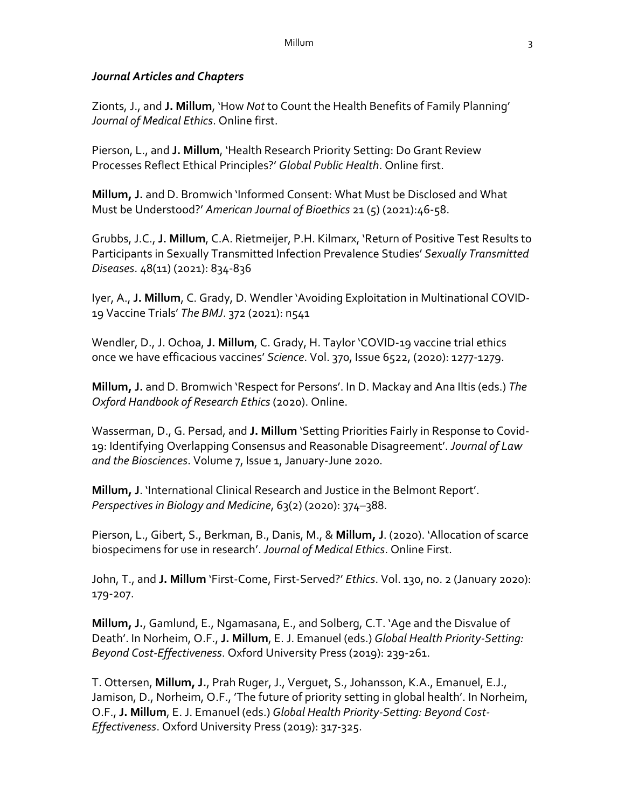#### *Journal Articles and Chapters*

Zionts, J., and **J. Millum**, 'How *Not* to Count the Health Benefits of Family Planning' *Journal of Medical Ethics*. Online first.

Pierson, L., and **J. Millum**, 'Health Research Priority Setting: Do Grant Review Processes Reflect Ethical Principles?' *Global Public Health*. Online first.

**Millum, J.** and D. Bromwich 'Informed Consent: What Must be Disclosed and What Must be Understood?' *American Journal of Bioethics* 21 (5) (2021):46-58.

Grubbs, J.C., **J. Millum**, C.A. Rietmeijer, P.H. Kilmarx, 'Return of Positive Test Results to Participants in Sexually Transmitted Infection Prevalence Studies' *Sexually Transmitted Diseases*. 48(11) (2021): 834-836

Iyer, A., **J. Millum**, C. Grady, D. Wendler 'Avoiding Exploitation in Multinational COVID-19 Vaccine Trials' *The BMJ*. 372 (2021): n541

Wendler, D., J. Ochoa, **J. Millum**, C. Grady, H. Taylor 'COVID-19 vaccine trial ethics once we have efficacious vaccines' *Science*. Vol. 370, Issue 6522, (2020): 1277-1279.

**Millum, J.** and D. Bromwich 'Respect for Persons'. In D. Mackay and Ana Iltis (eds.) *The Oxford Handbook of Research Ethics* (2020). Online.

Wasserman, D., G. Persad, and **J. Millum** 'Setting Priorities Fairly in Response to Covid-19: Identifying Overlapping Consensus and Reasonable Disagreement'. *Journal of Law and the Biosciences*. Volume 7, Issue 1, January-June 2020.

**Millum, J**. 'International Clinical Research and Justice in the Belmont Report'. *Perspectives in Biology and Medicine*, 63(2) (2020): 374–388.

Pierson, L., Gibert, S., Berkman, B., Danis, M., & **Millum, J**. (2020). 'Allocation of scarce biospecimens for use in research'. *Journal of Medical Ethics*. Online First.

John, T., and **J. Millum** 'First-Come, First-Served?' *Ethics*. Vol. 130, no. 2 (January 2020): 179-207.

**Millum, J.**, Gamlund, E., Ngamasana, E., and Solberg, C.T. 'Age and the Disvalue of Death'. In Norheim, O.F., **J. Millum**, E. J. Emanuel (eds.) *Global Health Priority-Setting: Beyond Cost-Effectiveness*. Oxford University Press (2019): 239-261.

T. Ottersen, **Millum, J.**, Prah Ruger, J., Verguet, S., Johansson, K.A., Emanuel, E.J., Jamison, D., Norheim, O.F., 'The future of priority setting in global health'. In Norheim, O.F., **J. Millum**, E. J. Emanuel (eds.) *Global Health Priority-Setting: Beyond Cost-Effectiveness*. Oxford University Press (2019): 317-325.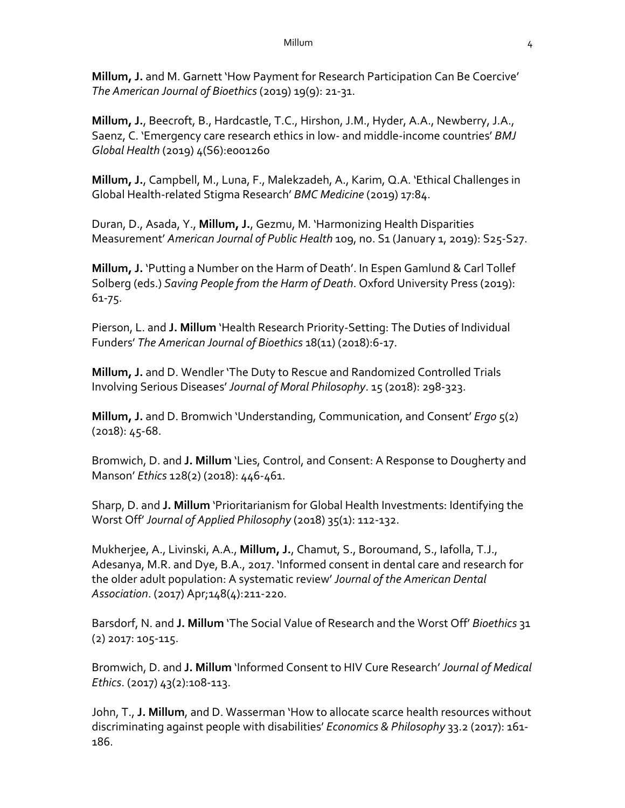**Millum, J.** and M. Garnett 'How Payment for Research Participation Can Be Coercive' *The American Journal of Bioethics* (2019) 19(9): 21-31.

**Millum, J.**, Beecroft, B., Hardcastle, T.C., Hirshon, J.M., Hyder, A.A., Newberry, J.A., Saenz, C. 'Emergency care research ethics in low- and middle-income countries' *BMJ Global Health* (2019) 4(S6):e001260

**Millum, J.**, Campbell, M., Luna, F., Malekzadeh, A., Karim, Q.A. 'Ethical Challenges in Global Health-related Stigma Research' *BMC Medicine* (2019) 17:84.

Duran, D., Asada, Y., **Millum, J.**, Gezmu, M. 'Harmonizing Health Disparities Measurement' *American Journal of Public Health* 109, no. S1 (January 1, 2019): S25-S27.

**Millum, J.** 'Putting a Number on the Harm of Death'. In Espen Gamlund & Carl Tollef Solberg (eds.) *Saving People from the Harm of Death*. Oxford University Press (2019): 61-75.

Pierson, L. and **J. Millum** 'Health Research Priority-Setting: The Duties of Individual Funders' *The American Journal of Bioethics* 18(11) (2018):6-17.

**Millum, J.** and D. Wendler 'The Duty to Rescue and Randomized Controlled Trials Involving Serious Diseases' *Journal of Moral Philosophy*. 15 (2018): 298-323.

**Millum, J.** and D. Bromwich 'Understanding, Communication, and Consent' *Ergo* 5(2) (2018): 45-68.

Bromwich, D. and **J. Millum** 'Lies, Control, and Consent: A Response to Dougherty and Manson' *Ethics* 128(2) (2018): 446-461.

Sharp, D. and **J. Millum** 'Prioritarianism for Global Health Investments: Identifying the Worst Off' *Journal of Applied Philosophy* (2018) 35(1): 112-132.

Mukherjee, A., Livinski, A.A., **Millum, J.**, Chamut, S., Boroumand, S., Iafolla, T.J., Adesanya, M.R. and Dye, B.A., 2017. 'Informed consent in dental care and research for the older adult population: A systematic review' *Journal of the American Dental Association*. (2017) Apr;148(4):211-220.

Barsdorf, N. and **J. Millum** 'The Social Value of Research and the Worst Off' *Bioethics* 31 (2) 2017: 105-115.

Bromwich, D. and **J. Millum** 'Informed Consent to HIV Cure Research' *Journal of Medical Ethics*. (2017) 43(2):108-113.

John, T., **J. Millum**, and D. Wasserman 'How to allocate scarce health resources without discriminating against people with disabilities' *Economics & Philosophy* 33.2 (2017): 161- 186.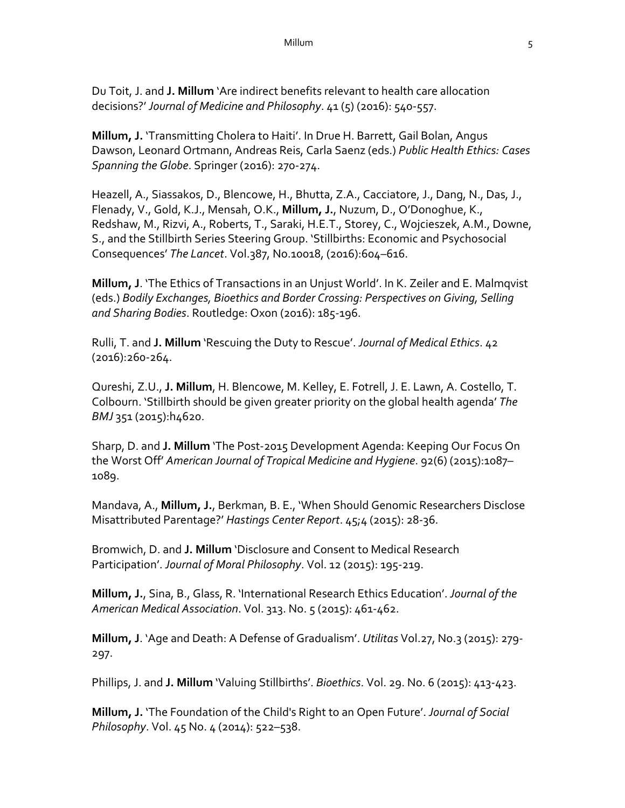Du Toit, J. and **J. Millum** 'Are indirect benefits relevant to health care allocation decisions?' *Journal of Medicine and Philosophy*. 41 (5) (2016): 540-557.

**Millum, J.** 'Transmitting Cholera to Haiti'. In Drue H. Barrett, Gail Bolan, Angus Dawson, Leonard Ortmann, Andreas Reis, Carla Saenz (eds.) *Public Health Ethics: Cases Spanning the Globe*. Springer (2016): 270-274.

Heazell, A., Siassakos, D., Blencowe, H., Bhutta, Z.A., Cacciatore, J., Dang, N., Das, J., Flenady, V., Gold, K.J., Mensah, O.K., **Millum, J.**, Nuzum, D., O'Donoghue, K., Redshaw, M., Rizvi, A., Roberts, T., Saraki, H.E.T., Storey, C., Wojcieszek, A.M., Downe, S., and the Stillbirth Series Steering Group. 'Stillbirths: Economic and Psychosocial Consequences' *The Lancet*. Vol.387, No.10018, (2016):604–616.

**Millum, J**. 'The Ethics of Transactions in an Unjust World'. In K. Zeiler and E. Malmqvist (eds.) *Bodily Exchanges, Bioethics and Border Crossing: Perspectives on Giving, Selling and Sharing Bodies*. Routledge: Oxon (2016): 185-196.

Rulli, T. and **J. Millum** 'Rescuing the Duty to Rescue'. *Journal of Medical Ethics*. 42 (2016):260-264.

Qureshi, Z.U., **J. Millum**, H. Blencowe, M. Kelley, E. Fotrell, J. E. Lawn, A. Costello, T. Colbourn. 'Stillbirth should be given greater priority on the global health agenda' *The BMJ* 351 (2015):h4620.

Sharp, D. and **J. Millum** 'The Post-2015 Development Agenda: Keeping Our Focus On the Worst Off' *American Journal of Tropical Medicine and Hygiene*. 92(6) (2015):1087– 1089.

Mandava, A., **Millum, J.**, Berkman, B. E., 'When Should Genomic Researchers Disclose Misattributed Parentage?' *Hastings Center Report*. 45;4 (2015): 28-36.

Bromwich, D. and **J. Millum** 'Disclosure and Consent to Medical Research Participation'. *Journal of Moral Philosophy*. Vol. 12 (2015): 195-219.

**Millum, J.**, Sina, B., Glass, R. 'International Research Ethics Education'. *Journal of the American Medical Association*. Vol. 313. No. 5 (2015): 461-462.

**Millum, J**. 'Age and Death: A Defense of Gradualism'. *Utilitas* Vol.27, No.3 (2015): 279- 297.

Phillips, J. and **J. Millum** 'Valuing Stillbirths'. *Bioethics*. Vol. 29. No. 6 (2015): 413-423.

**Millum, J.** 'The Foundation of the Child's Right to an Open Future'. *Journal of Social Philosophy*. Vol. 45 No. 4 (2014): 522–538.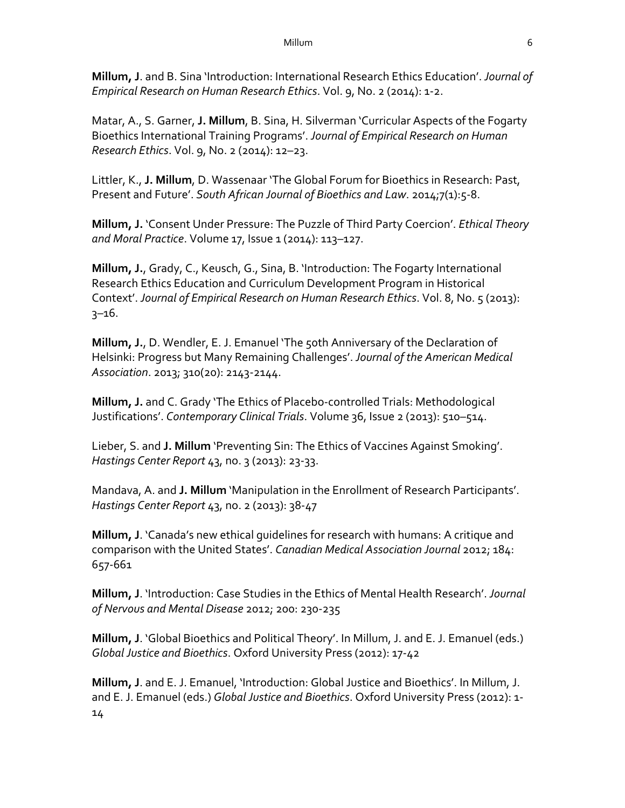**Millum, J**. and B. Sina 'Introduction: International Research Ethics Education'. *Journal of Empirical Research on Human Research Ethics*. Vol. 9, No. 2 (2014): 1-2.

Matar, A., S. Garner, **J. Millum**, B. Sina, H. Silverman 'Curricular Aspects of the Fogarty Bioethics International Training Programs'. *Journal of Empirical Research on Human Research Ethics*. Vol. 9, No. 2 (2014): 12–23.

Littler, K., **J. Millum**, D. Wassenaar 'The Global Forum for Bioethics in Research: Past, Present and Future'. *South African Journal of Bioethics and Law*. 2014;7(1):5-8.

**Millum, J.** 'Consent Under Pressure: The Puzzle of Third Party Coercion'. *Ethical Theory and Moral Practice*. Volume 17, Issue 1 (2014): 113–127.

**Millum, J.**, Grady, C., Keusch, G., Sina, B. 'Introduction: The Fogarty International Research Ethics Education and Curriculum Development Program in Historical Context'. *Journal of Empirical Research on Human Research Ethics*. Vol. 8, No. 5 (2013): 3–16.

**Millum, J.**, D. Wendler, E. J. Emanuel 'The 50th Anniversary of the Declaration of Helsinki: Progress but Many Remaining Challenges'. *Journal of the American Medical Association*. 2013; 310(20): 2143-2144.

**Millum, J.** and C. Grady 'The Ethics of Placebo-controlled Trials: Methodological Justifications'. *Contemporary Clinical Trials*. Volume 36, Issue 2 (2013): 510–514.

Lieber, S. and **J. Millum** 'Preventing Sin: The Ethics of Vaccines Against Smoking'. *Hastings Center Report* 43, no. 3 (2013): 23-33.

Mandava, A. and **J. Millum** 'Manipulation in the Enrollment of Research Participants'. *Hastings Center Report* 43, no. 2 (2013): 38-47

**Millum, J**. 'Canada's new ethical guidelines for research with humans: A critique and comparison with the United States'. *Canadian Medical Association Journal* 2012; 184: 657-661

**Millum, J**. 'Introduction: Case Studies in the Ethics of Mental Health Research'. *Journal of Nervous and Mental Disease* 2012; 200: 230-235

**Millum, J**. 'Global Bioethics and Political Theory'. In Millum, J. and E. J. Emanuel (eds.) *Global Justice and Bioethics*. Oxford University Press (2012): 17-42

**Millum, J**. and E. J. Emanuel, 'Introduction: Global Justice and Bioethics'. In Millum, J. and E. J. Emanuel (eds.) *Global Justice and Bioethics*. Oxford University Press (2012): 1- 14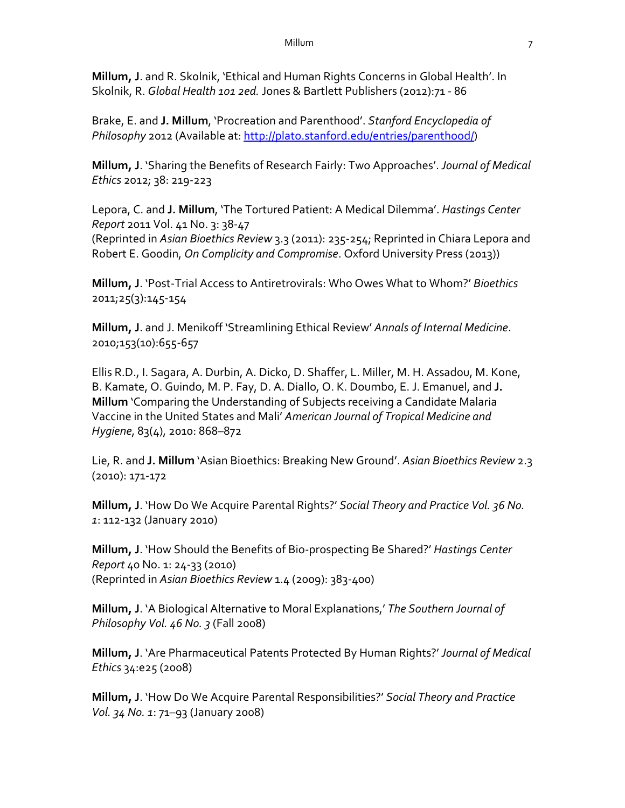**Millum, J**. and R. Skolnik, 'Ethical and Human Rights Concerns in Global Health'. In Skolnik, R. *Global Health 101 2ed.* Jones & Bartlett Publishers (2012):71 - 86

Brake, E. and **J. Millum**, 'Procreation and Parenthood'. *Stanford Encyclopedia of Philosophy* 2012 (Available at: http://plato.stanford.edu/entries/parenthood/)

**Millum, J**. 'Sharing the Benefits of Research Fairly: Two Approaches'. *Journal of Medical Ethics* 2012; 38: 219-223

Lepora, C. and **J. Millum**, 'The Tortured Patient: A Medical Dilemma'. *Hastings Center Report* 2011 Vol. 41 No. 3: 38-47 (Reprinted in *Asian Bioethics Review* 3.3 (2011): 235-254; Reprinted in Chiara Lepora and Robert E. Goodin, *On Complicity and Compromise*. Oxford University Press (2013))

**Millum, J**. 'Post-Trial Access to Antiretrovirals: Who Owes What to Whom?' *Bioethics* 2011;25(3):145-154

**Millum, J**. and J. Menikoff 'Streamlining Ethical Review' *Annals of Internal Medicine*. 2010;153(10):655-657

Ellis R.D., I. Sagara, A. Durbin, A. Dicko, D. Shaffer, L. Miller, M. H. Assadou, M. Kone, B. Kamate, O. Guindo, M. P. Fay, D. A. Diallo, O. K. Doumbo, E. J. Emanuel, and **J. Millum** 'Comparing the Understanding of Subjects receiving a Candidate Malaria Vaccine in the United States and Mali' *American Journal of Tropical Medicine and Hygiene*, 83(4), 2010: 868–872

Lie, R. and **J. Millum** 'Asian Bioethics: Breaking New Ground'. *Asian Bioethics Review* 2.3 (2010): 171-172

**Millum, J**. 'How Do We Acquire Parental Rights?' *Social Theory and Practice Vol. 36 No. 1*: 112-132 (January 2010)

**Millum, J**. 'How Should the Benefits of Bio-prospecting Be Shared?' *Hastings Center Report* 40 No. 1: 24-33 (2010) (Reprinted in *Asian Bioethics Review* 1.4 (2009): 383-400)

**Millum, J**. 'A Biological Alternative to Moral Explanations,' *The Southern Journal of Philosophy Vol. 46 No. 3* (Fall 2008)

**Millum, J**. 'Are Pharmaceutical Patents Protected By Human Rights?' *Journal of Medical Ethics* 34:e25 (2008)

**Millum, J**. 'How Do We Acquire Parental Responsibilities?' *Social Theory and Practice Vol. 34 No. 1*: 71–93 (January 2008)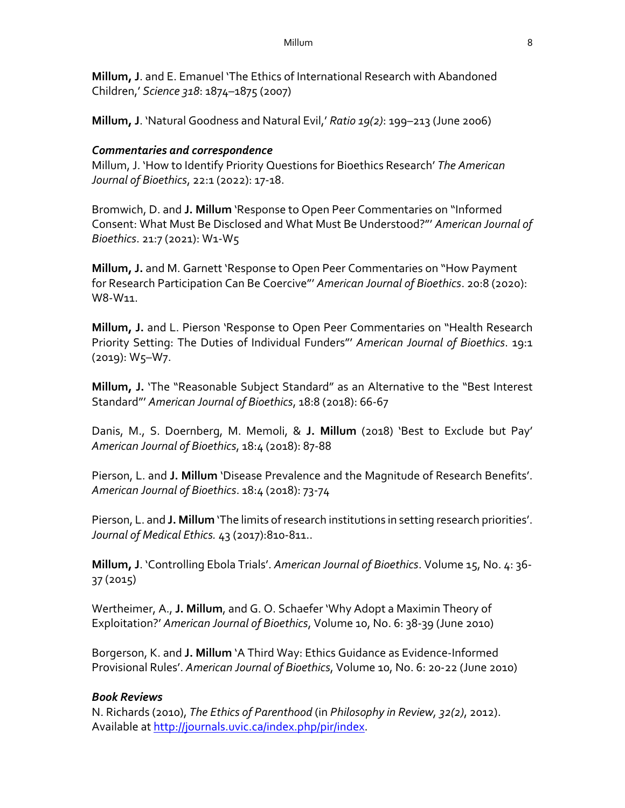**Millum, J**. and E. Emanuel 'The Ethics of International Research with Abandoned Children,' *Science 318*: 1874–1875 (2007)

**Millum, J**. 'Natural Goodness and Natural Evil,' *Ratio 19(2)*: 199–213 (June 2006)

### *Commentaries and correspondence*

Millum, J. 'How to Identify Priority Questions for Bioethics Research' *The American Journal of Bioethics*, 22:1 (2022): 17-18.

Bromwich, D. and **J. Millum** 'Response to Open Peer Commentaries on "Informed Consent: What Must Be Disclosed and What Must Be Understood?"' *American Journal of Bioethics*. 21:7 (2021): W1-W5

**Millum, J.** and M. Garnett 'Response to Open Peer Commentaries on "How Payment for Research Participation Can Be Coercive"' *American Journal of Bioethics*. 20:8 (2020): W8-W11.

**Millum, J.** and L. Pierson 'Response to Open Peer Commentaries on "Health Research Priority Setting: The Duties of Individual Funders"' *American Journal of Bioethics*. 19:1 (2019): W5–W7.

**Millum, J.** 'The "Reasonable Subject Standard" as an Alternative to the "Best Interest Standard"' *American Journal of Bioethics*, 18:8 (2018): 66-67

Danis, M., S. Doernberg, M. Memoli, & **J. Millum** (2018) 'Best to Exclude but Pay' *American Journal of Bioethics*, 18:4 (2018): 87-88

Pierson, L. and **J. Millum** 'Disease Prevalence and the Magnitude of Research Benefits'. *American Journal of Bioethics*. 18:4 (2018): 73-74

Pierson, L. and **J. Millum** 'The limits of research institutions in setting research priorities'. *Journal of Medical Ethics.* 43 (2017):810-811..

**Millum, J**. 'Controlling Ebola Trials'. *American Journal of Bioethics*. Volume 15, No. 4: 36- 37 (2015)

Wertheimer, A., **J. Millum**, and G. O. Schaefer 'Why Adopt a Maximin Theory of Exploitation?' *American Journal of Bioethics*, Volume 10, No. 6: 38-39 (June 2010)

Borgerson, K. and **J. Millum** 'A Third Way: Ethics Guidance as Evidence-Informed Provisional Rules'. *American Journal of Bioethics*, Volume 10, No. 6: 20-22 (June 2010)

### *Book Reviews*

N. Richards (2010), *The Ethics of Parenthood* (in *Philosophy in Review, 32(2)*, 2012). Available at http://journals.uvic.ca/index.php/pir/index.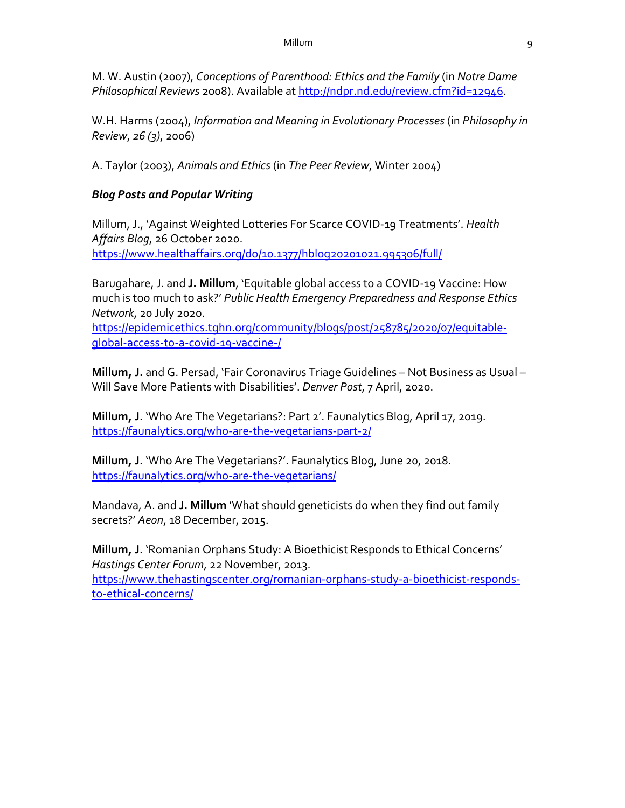M. W. Austin (2007), *Conceptions of Parenthood: Ethics and the Family* (in *Notre Dame Philosophical Reviews* 2008). Available at http://ndpr.nd.edu/review.cfm?id=12946.

W.H. Harms (2004), *Information and Meaning in Evolutionary Processes* (in *Philosophy in Review*, *26 (3)*, 2006)

A. Taylor (2003), *Animals and Ethics* (in *The Peer Review*, Winter 2004)

### *Blog Posts and Popular Writing*

Millum, J., 'Against Weighted Lotteries For Scarce COVID-19 Treatments'. *Health Affairs Blog*, 26 October 2020. https://www.healthaffairs.org/do/10.1377/hblog20201021.995306/full/

Barugahare, J. and **J. Millum**, 'Equitable global access to a COVID-19 Vaccine: How much is too much to ask?' *Public Health Emergency Preparedness and Response Ethics Network*, 20 July 2020.

https://epidemicethics.tghn.org/community/blogs/post/258785/2020/07/equitableglobal-access-to-a-covid-19-vaccine-/

**Millum, J.** and G. Persad, 'Fair Coronavirus Triage Guidelines – Not Business as Usual – Will Save More Patients with Disabilities'. *Denver Post*, 7 April, 2020.

**Millum, J.** 'Who Are The Vegetarians?: Part 2'. Faunalytics Blog, April 17, 2019. https://faunalytics.org/who-are-the-vegetarians-part-2/

**Millum, J.** 'Who Are The Vegetarians?'. Faunalytics Blog, June 20, 2018. https://faunalytics.org/who-are-the-vegetarians/

Mandava, A. and **J. Millum** 'What should geneticists do when they find out family secrets?' *Aeon*, 18 December, 2015.

**Millum, J.** 'Romanian Orphans Study: A Bioethicist Responds to Ethical Concerns' *Hastings Center Forum*, 22 November, 2013. https://www.thehastingscenter.org/romanian-orphans-study-a-bioethicist-respondsto-ethical-concerns/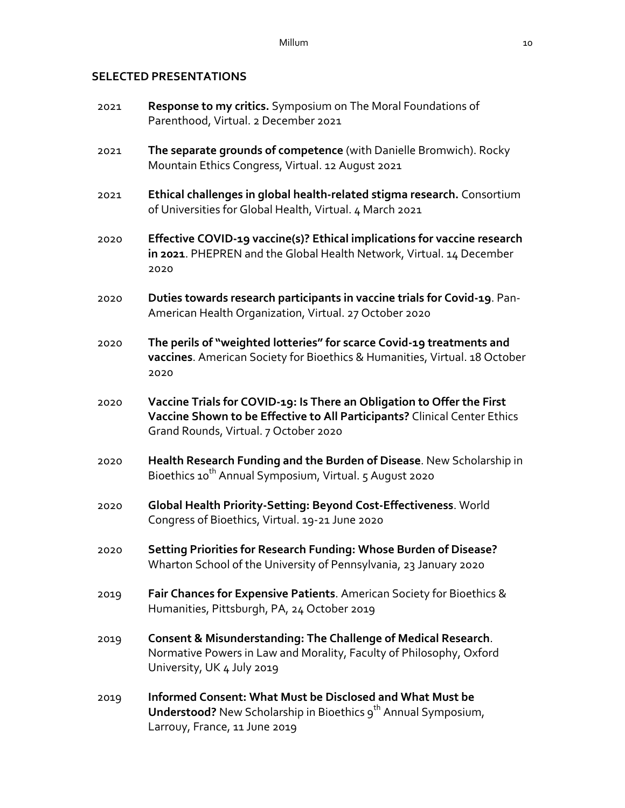# **SELECTED PRESENTATIONS**

| 2021 | Response to my critics. Symposium on The Moral Foundations of<br>Parenthood, Virtual. 2 December 2021                                                                                        |
|------|----------------------------------------------------------------------------------------------------------------------------------------------------------------------------------------------|
| 2021 | The separate grounds of competence (with Danielle Bromwich). Rocky<br>Mountain Ethics Congress, Virtual. 12 August 2021                                                                      |
| 2021 | Ethical challenges in global health-related stigma research. Consortium<br>of Universities for Global Health, Virtual. 4 March 2021                                                          |
| 2020 | Effective COVID-19 vaccine(s)? Ethical implications for vaccine research<br>in 2021. PHEPREN and the Global Health Network, Virtual. 14 December<br>2020                                     |
| 2020 | Duties towards research participants in vaccine trials for Covid-19. Pan-<br>American Health Organization, Virtual. 27 October 2020                                                          |
| 2020 | The perils of "weighted lotteries" for scarce Covid-19 treatments and<br>vaccines. American Society for Bioethics & Humanities, Virtual. 18 October<br>2020                                  |
| 2020 | Vaccine Trials for COVID-19: Is There an Obligation to Offer the First<br>Vaccine Shown to be Effective to All Participants? Clinical Center Ethics<br>Grand Rounds, Virtual. 7 October 2020 |
| 2020 | Health Research Funding and the Burden of Disease. New Scholarship in<br>Bioethics 10 <sup>th</sup> Annual Symposium, Virtual. 5 August 2020                                                 |
| 2020 | Global Health Priority-Setting: Beyond Cost-Effectiveness. World<br>Congress of Bioethics, Virtual. 19-21 June 2020                                                                          |
| 2020 | Setting Priorities for Research Funding: Whose Burden of Disease?<br>Wharton School of the University of Pennsylvania, 23 January 2020                                                       |
| 2019 | Fair Chances for Expensive Patients. American Society for Bioethics &<br>Humanities, Pittsburgh, PA, 24 October 2019                                                                         |
| 2019 | <b>Consent &amp; Misunderstanding: The Challenge of Medical Research.</b><br>Normative Powers in Law and Morality, Faculty of Philosophy, Oxford<br>University, UK 4 July 2019               |
| 2019 | Informed Consent: What Must be Disclosed and What Must be<br>Understood? New Scholarship in Bioethics 9 <sup>th</sup> Annual Symposium,<br>Larrouy, France, 11 June 2019                     |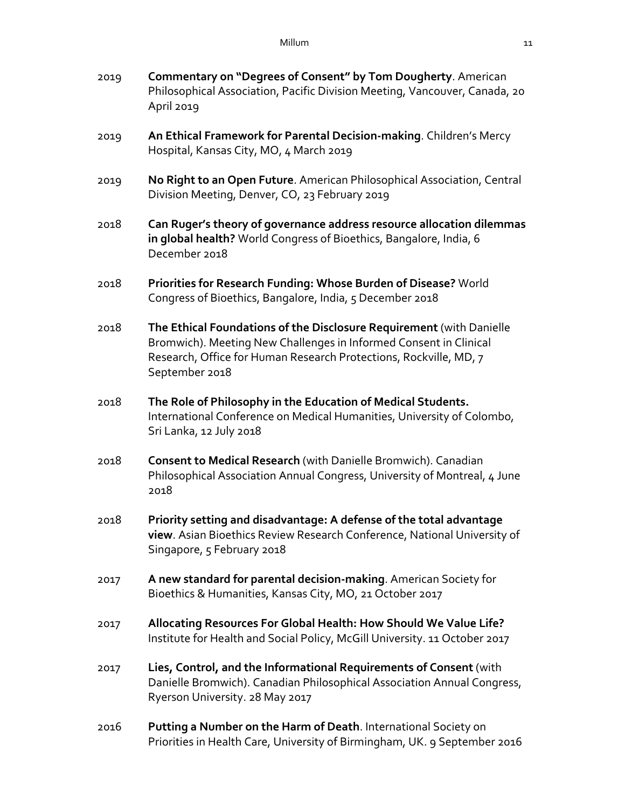- 2019 **Commentary on "Degrees of Consent" by Tom Dougherty**. American Philosophical Association, Pacific Division Meeting, Vancouver, Canada, 20 April 2019
- 2019 **An Ethical Framework for Parental Decision-making**. Children's Mercy Hospital, Kansas City, MO, 4 March 2019
- 2019 **No Right to an Open Future**. American Philosophical Association, Central Division Meeting, Denver, CO, 23 February 2019
- 2018 **Can Ruger's theory of governance address resource allocation dilemmas in global health?** World Congress of Bioethics, Bangalore, India, 6 December 2018
- 2018 **Priorities for Research Funding: Whose Burden of Disease?** World Congress of Bioethics, Bangalore, India, 5 December 2018
- 2018 **The Ethical Foundations of the Disclosure Requirement** (with Danielle Bromwich). Meeting New Challenges in Informed Consent in Clinical Research, Office for Human Research Protections, Rockville, MD, 7 September 2018
- 2018 **The Role of Philosophy in the Education of Medical Students.** International Conference on Medical Humanities, University of Colombo, Sri Lanka, 12 July 2018
- 2018 **Consent to Medical Research** (with Danielle Bromwich). Canadian Philosophical Association Annual Congress, University of Montreal, 4 June 2018
- 2018 **Priority setting and disadvantage: A defense of the total advantage view**. Asian Bioethics Review Research Conference, National University of Singapore, 5 February 2018
- 2017 **A new standard for parental decision-making**. American Society for Bioethics & Humanities, Kansas City, MO, 21 October 2017
- 2017 **Allocating Resources For Global Health: How Should We Value Life?** Institute for Health and Social Policy, McGill University. 11 October 2017
- 2017 **Lies, Control, and the Informational Requirements of Consent** (with Danielle Bromwich). Canadian Philosophical Association Annual Congress, Ryerson University. 28 May 2017
- 2016 **Putting a Number on the Harm of Death**. International Society on Priorities in Health Care, University of Birmingham, UK. 9 September 2016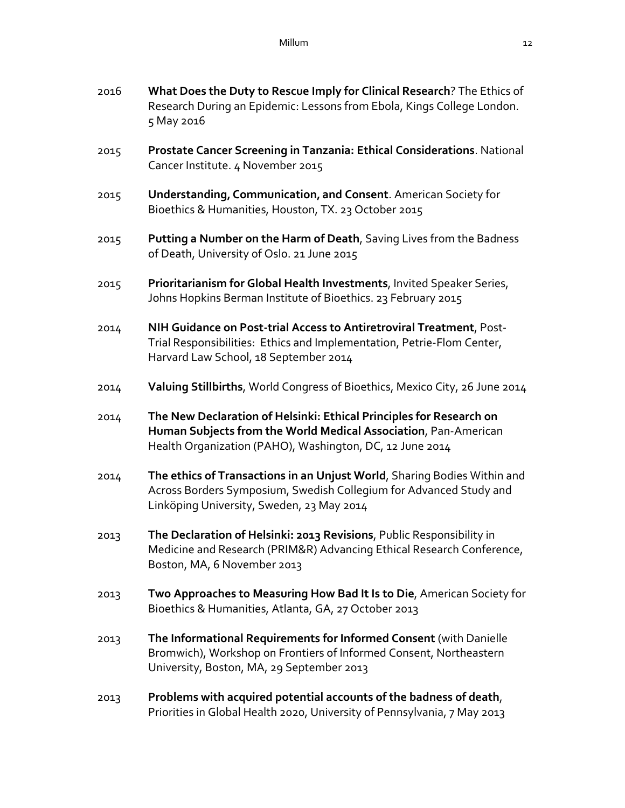- 2016 **What Does the Duty to Rescue Imply for Clinical Research**? The Ethics of Research During an Epidemic: Lessons from Ebola, Kings College London. 5 May 2016
- 2015 **Prostate Cancer Screening in Tanzania: Ethical Considerations**. National Cancer Institute. 4 November 2015
- 2015 **Understanding' Communication' and Consent**. American Society for Bioethics & Humanities, Houston, TX. 23 October 2015
- 2015 **Putting a Number on the Harm of Death**, Saving Lives from the Badness of Death, University of Oslo. 21 June 2015
- 2015 **Prioritarianism for Global Health Investments**, Invited Speaker Series, Johns Hopkins Berman Institute of Bioethics. 23 February 2015
- 2014 **NIH Guidance on Post-trial Access to Antiretroviral Treatment**, Post-Trial Responsibilities: Ethics and Implementation, Petrie-Flom Center, Harvard Law School, 18 September 2014
- 2014 **Valuing Stillbirths**, World Congress of Bioethics, Mexico City, 26 June 2014
- 2014 **The New Declaration of Helsinki: Ethical Principles for Research on Human Subjects from the World Medical Association**, Pan-American Health Organization (PAHO), Washington, DC, 12 June 2014
- 2014 **The ethics of Transactions in an Unjust World**, Sharing Bodies Within and Across Borders Symposium, Swedish Collegium for Advanced Study and Linköping University, Sweden, 23 May 2014
- 2013 **The Declaration of Helsinki: 2013 Revisions**, Public Responsibility in Medicine and Research (PRIM&R) Advancing Ethical Research Conference, Boston, MA, 6 November 2013
- 2013 **Two Approaches to Measuring How Bad It Is to Die**, American Society for Bioethics & Humanities, Atlanta, GA, 27 October 2013
- 2013 **The Informational Requirements for Informed Consent** (with Danielle Bromwich), Workshop on Frontiers of Informed Consent, Northeastern University, Boston, MA, 29 September 2013
- 2013 **Problems with acquired potential accounts of the badness of death**, Priorities in Global Health 2020, University of Pennsylvania, 7 May 2013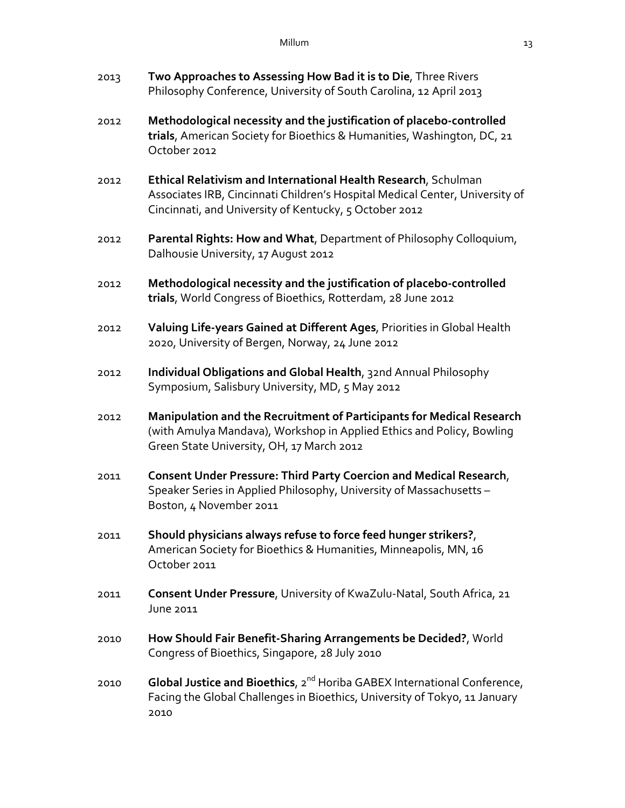| 2013 | Two Approaches to Assessing How Bad it is to Die, Three Rivers<br>Philosophy Conference, University of South Carolina, 12 April 2013                                                                     |
|------|----------------------------------------------------------------------------------------------------------------------------------------------------------------------------------------------------------|
| 2012 | Methodological necessity and the justification of placebo-controlled<br>trials, American Society for Bioethics & Humanities, Washington, DC, 21<br>October 2012                                          |
| 2012 | Ethical Relativism and International Health Research, Schulman<br>Associates IRB, Cincinnati Children's Hospital Medical Center, University of<br>Cincinnati, and University of Kentucky, 5 October 2012 |
| 2012 | Parental Rights: How and What, Department of Philosophy Colloquium,<br>Dalhousie University, 17 August 2012                                                                                              |
| 2012 | Methodological necessity and the justification of placebo-controlled<br>trials, World Congress of Bioethics, Rotterdam, 28 June 2012                                                                     |
| 2012 | Valuing Life-years Gained at Different Ages, Priorities in Global Health<br>2020, University of Bergen, Norway, 24 June 2012                                                                             |
| 2012 | Individual Obligations and Global Health, 32nd Annual Philosophy<br>Symposium, Salisbury University, MD, 5 May 2012                                                                                      |
| 2012 | Manipulation and the Recruitment of Participants for Medical Research<br>(with Amulya Mandava), Workshop in Applied Ethics and Policy, Bowling<br>Green State University, OH, 17 March 2012              |
| 2011 | <b>Consent Under Pressure: Third Party Coercion and Medical Research,</b><br>Speaker Series in Applied Philosophy, University of Massachusetts -<br>Boston, 4 November 2011                              |
| 2011 | Should physicians always refuse to force feed hunger strikers?,<br>American Society for Bioethics & Humanities, Minneapolis, MN, 16<br>October 2011                                                      |
| 2011 | Consent Under Pressure, University of KwaZulu-Natal, South Africa, 21<br>June 2011                                                                                                                       |
| 2010 | How Should Fair Benefit-Sharing Arrangements be Decided?, World<br>Congress of Bioethics, Singapore, 28 July 2010                                                                                        |
| 2010 | Global Justice and Bioethics, 2 <sup>nd</sup> Horiba GABEX International Conference,<br>Facing the Global Challenges in Bioethics, University of Tokyo, 11 January<br>2010                               |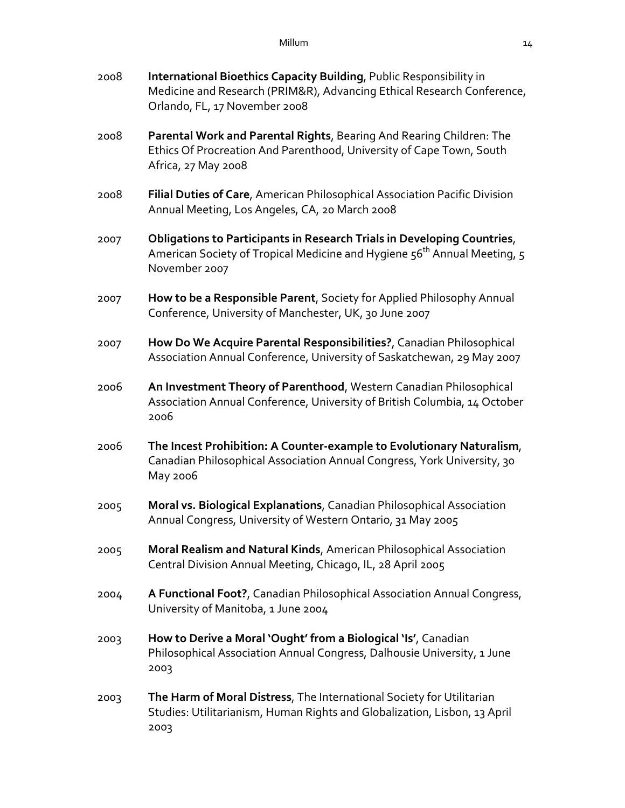| 2008 | International Bioethics Capacity Building, Public Responsibility in<br>Medicine and Research (PRIM&R), Advancing Ethical Research Conference,<br>Orlando, FL, 17 November 2008   |
|------|----------------------------------------------------------------------------------------------------------------------------------------------------------------------------------|
| 2008 | Parental Work and Parental Rights, Bearing And Rearing Children: The<br>Ethics Of Procreation And Parenthood, University of Cape Town, South<br>Africa, 27 May 2008              |
| 2008 | Filial Duties of Care, American Philosophical Association Pacific Division<br>Annual Meeting, Los Angeles, CA, 20 March 2008                                                     |
| 2007 | Obligations to Participants in Research Trials in Developing Countries,<br>American Society of Tropical Medicine and Hygiene 56 <sup>th</sup> Annual Meeting, 5<br>November 2007 |
| 2007 | How to be a Responsible Parent, Society for Applied Philosophy Annual<br>Conference, University of Manchester, UK, 30 June 2007                                                  |
| 2007 | How Do We Acquire Parental Responsibilities?, Canadian Philosophical<br>Association Annual Conference, University of Saskatchewan, 29 May 2007                                   |
| 2006 | An Investment Theory of Parenthood, Western Canadian Philosophical<br>Association Annual Conference, University of British Columbia, 14 October<br>2006                          |
| 2006 | The Incest Prohibition: A Counter-example to Evolutionary Naturalism,<br>Canadian Philosophical Association Annual Congress, York University, 30<br>May 2006                     |
| 2005 | Moral vs. Biological Explanations, Canadian Philosophical Association<br>Annual Congress, University of Western Ontario, 31 May 2005                                             |
| 2005 | Moral Realism and Natural Kinds, American Philosophical Association<br>Central Division Annual Meeting, Chicago, IL, 28 April 2005                                               |
| 2004 | A Functional Foot?, Canadian Philosophical Association Annual Congress,<br>University of Manitoba, 1 June 2004                                                                   |
| 2003 | How to Derive a Moral 'Ought' from a Biological 'Is', Canadian<br>Philosophical Association Annual Congress, Dalhousie University, 1 June<br>2003                                |
| 2003 | The Harm of Moral Distress, The International Society for Utilitarian<br>Studies: Utilitarianism, Human Rights and Globalization, Lisbon, 13 April<br>2003                       |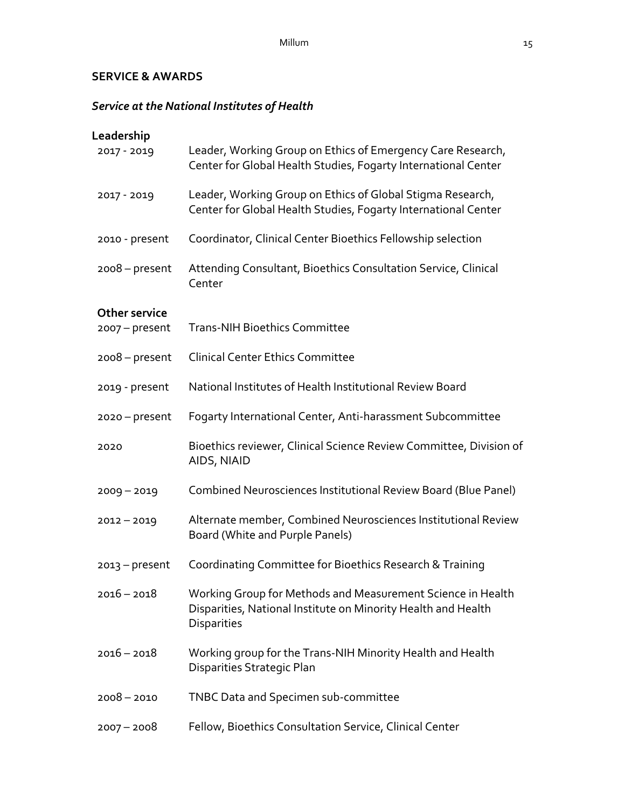## **SERVICE & AWARDS**

# *Service at the National Institutes of Health*

| Leadership                               |                                                                                                                                                    |
|------------------------------------------|----------------------------------------------------------------------------------------------------------------------------------------------------|
| 2017 - 2019                              | Leader, Working Group on Ethics of Emergency Care Research,<br>Center for Global Health Studies, Fogarty International Center                      |
| 2017 - 2019                              | Leader, Working Group on Ethics of Global Stigma Research,<br>Center for Global Health Studies, Fogarty International Center                       |
| 2010 - present                           | Coordinator, Clinical Center Bioethics Fellowship selection                                                                                        |
| $2008 - present$                         | Attending Consultant, Bioethics Consultation Service, Clinical<br>Center                                                                           |
| <b>Other service</b><br>$2007 - present$ | <b>Trans-NIH Bioethics Committee</b>                                                                                                               |
| $2008 - present$                         | <b>Clinical Center Ethics Committee</b>                                                                                                            |
| 2019 - present                           | National Institutes of Health Institutional Review Board                                                                                           |
| $2020 - present$                         | Fogarty International Center, Anti-harassment Subcommittee                                                                                         |
| 2020                                     | Bioethics reviewer, Clinical Science Review Committee, Division of<br>AIDS, NIAID                                                                  |
| $2009 - 2019$                            | Combined Neurosciences Institutional Review Board (Blue Panel)                                                                                     |
| $2012 - 2019$                            | Alternate member, Combined Neurosciences Institutional Review<br>Board (White and Purple Panels)                                                   |
| $2013 - present$                         | Coordinating Committee for Bioethics Research & Training                                                                                           |
| $2016 - 2018$                            | Working Group for Methods and Measurement Science in Health<br>Disparities, National Institute on Minority Health and Health<br><b>Disparities</b> |
| $2016 - 2018$                            | Working group for the Trans-NIH Minority Health and Health<br>Disparities Strategic Plan                                                           |
| $2008 - 2010$                            | TNBC Data and Specimen sub-committee                                                                                                               |
| $2007 - 2008$                            | Fellow, Bioethics Consultation Service, Clinical Center                                                                                            |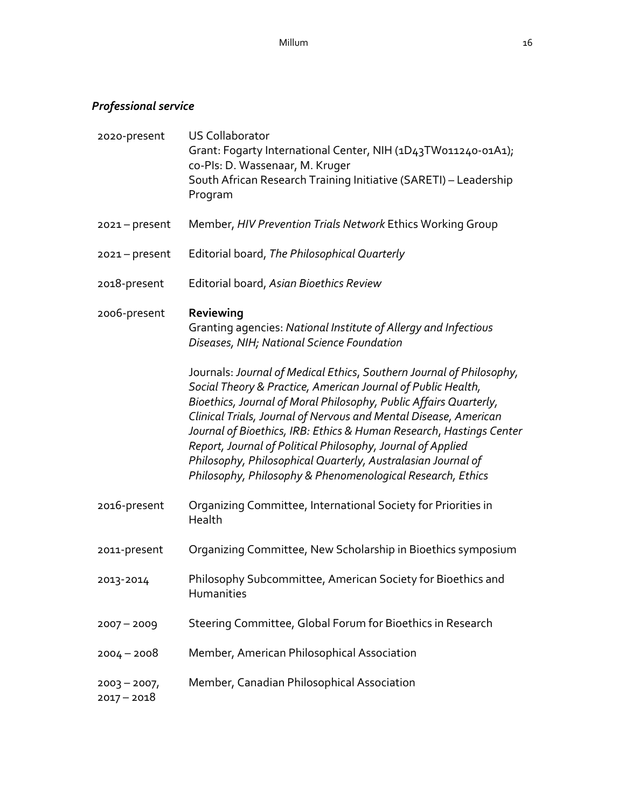# *Professional service*

| 2020-present                   | <b>US Collaborator</b><br>Grant: Fogarty International Center, NIH (1D43TW011240-01A1);<br>co-Pls: D. Wassenaar, M. Kruger<br>South African Research Training Initiative (SARETI) - Leadership<br>Program                                                                                                                                                                                                                                                                                                                                         |
|--------------------------------|---------------------------------------------------------------------------------------------------------------------------------------------------------------------------------------------------------------------------------------------------------------------------------------------------------------------------------------------------------------------------------------------------------------------------------------------------------------------------------------------------------------------------------------------------|
| $2021 - present$               | Member, HIV Prevention Trials Network Ethics Working Group                                                                                                                                                                                                                                                                                                                                                                                                                                                                                        |
| $2021 - present$               | Editorial board, The Philosophical Quarterly                                                                                                                                                                                                                                                                                                                                                                                                                                                                                                      |
| 2018-present                   | Editorial board, Asian Bioethics Review                                                                                                                                                                                                                                                                                                                                                                                                                                                                                                           |
| 2006-present                   | Reviewing<br>Granting agencies: National Institute of Allergy and Infectious<br>Diseases, NIH; National Science Foundation                                                                                                                                                                                                                                                                                                                                                                                                                        |
|                                | Journals: Journal of Medical Ethics, Southern Journal of Philosophy,<br>Social Theory & Practice, American Journal of Public Health,<br>Bioethics, Journal of Moral Philosophy, Public Affairs Quarterly,<br>Clinical Trials, Journal of Nervous and Mental Disease, American<br>Journal of Bioethics, IRB: Ethics & Human Research, Hastings Center<br>Report, Journal of Political Philosophy, Journal of Applied<br>Philosophy, Philosophical Quarterly, Australasian Journal of<br>Philosophy, Philosophy & Phenomenological Research, Ethics |
| 2016-present                   | Organizing Committee, International Society for Priorities in<br>Health                                                                                                                                                                                                                                                                                                                                                                                                                                                                           |
| 2011-present                   | Organizing Committee, New Scholarship in Bioethics symposium                                                                                                                                                                                                                                                                                                                                                                                                                                                                                      |
| 2013-2014                      | Philosophy Subcommittee, American Society for Bioethics and<br>Humanities                                                                                                                                                                                                                                                                                                                                                                                                                                                                         |
| $2007 - 2009$                  | Steering Committee, Global Forum for Bioethics in Research                                                                                                                                                                                                                                                                                                                                                                                                                                                                                        |
| $2004 - 2008$                  | Member, American Philosophical Association                                                                                                                                                                                                                                                                                                                                                                                                                                                                                                        |
| $2003 - 2007$<br>$2017 - 2018$ | Member, Canadian Philosophical Association                                                                                                                                                                                                                                                                                                                                                                                                                                                                                                        |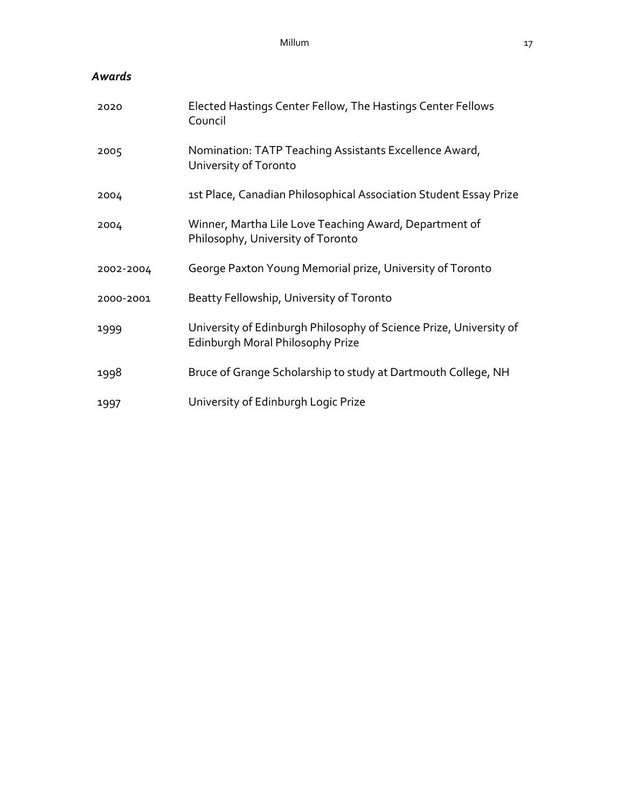# *Awards*

| 2020      | Elected Hastings Center Fellow, The Hastings Center Fellows<br>Council                                 |
|-----------|--------------------------------------------------------------------------------------------------------|
| 2005      | Nomination: TATP Teaching Assistants Excellence Award,<br>University of Toronto                        |
| 2004      | 1st Place, Canadian Philosophical Association Student Essay Prize                                      |
| 2004      | Winner, Martha Lile Love Teaching Award, Department of<br>Philosophy, University of Toronto            |
| 2002-2004 | George Paxton Young Memorial prize, University of Toronto                                              |
| 2000-2001 | Beatty Fellowship, University of Toronto                                                               |
| 1999      | University of Edinburgh Philosophy of Science Prize, University of<br>Edinburgh Moral Philosophy Prize |
| 1998      | Bruce of Grange Scholarship to study at Dartmouth College, NH                                          |
| 1997      | University of Edinburgh Logic Prize                                                                    |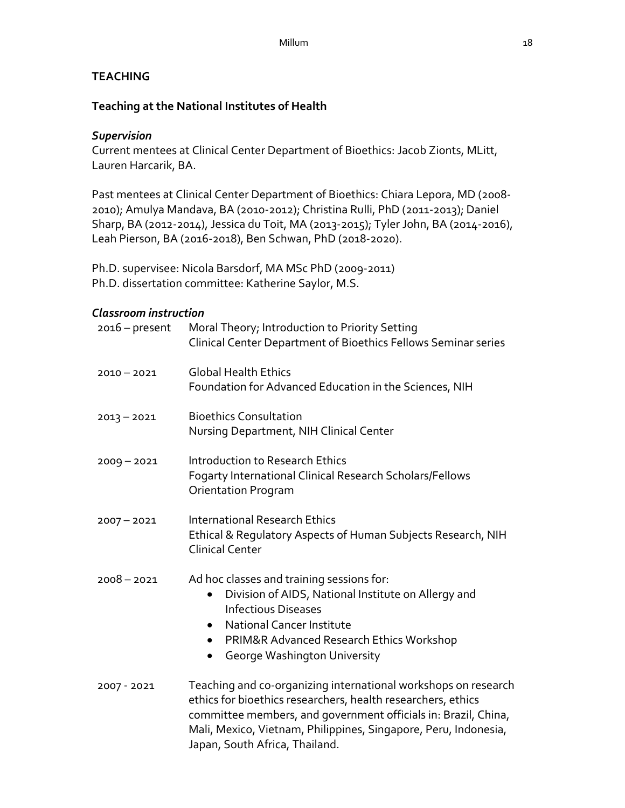### **TEACHING**

### **Teaching at the National Institutes of Health**

### *Supervision*

Current mentees at Clinical Center Department of Bioethics: Jacob Zionts, MLitt, Lauren Harcarik, BA.

Past mentees at Clinical Center Department of Bioethics: Chiara Lepora, MD (2008- 2010); Amulya Mandava, BA (2010-2012); Christina Rulli, PhD (2011-2013); Daniel Sharp, BA (2012-2014), Jessica du Toit, MA (2013-2015); Tyler John, BA (2014-2016), Leah Pierson, BA (2016-2018), Ben Schwan, PhD (2018-2020).

Ph.D. supervisee: Nicola Barsdorf, MA MSc PhD (2009-2011) Ph.D. dissertation committee: Katherine Saylor, M.S.

### *Classroom instruction*

| $2016$ – present | Moral Theory; Introduction to Priority Setting<br>Clinical Center Department of Bioethics Fellows Seminar series                                                                                                                                                                                      |
|------------------|-------------------------------------------------------------------------------------------------------------------------------------------------------------------------------------------------------------------------------------------------------------------------------------------------------|
| $2010 - 2021$    | <b>Global Health Ethics</b><br>Foundation for Advanced Education in the Sciences, NIH                                                                                                                                                                                                                 |
| $2013 - 2021$    | <b>Bioethics Consultation</b><br>Nursing Department, NIH Clinical Center                                                                                                                                                                                                                              |
| $2009 - 2021$    | Introduction to Research Ethics<br>Fogarty International Clinical Research Scholars/Fellows<br><b>Orientation Program</b>                                                                                                                                                                             |
| $2007 - 2021$    | <b>International Research Ethics</b><br>Ethical & Regulatory Aspects of Human Subjects Research, NIH<br><b>Clinical Center</b>                                                                                                                                                                        |
| $2008 - 2021$    | Ad hoc classes and training sessions for:<br>Division of AIDS, National Institute on Allergy and<br>$\bullet$<br><b>Infectious Diseases</b><br><b>National Cancer Institute</b><br>PRIM&R Advanced Research Ethics Workshop<br>$\bullet$<br>George Washington University<br>٠                         |
| 2007 - 2021      | Teaching and co-organizing international workshops on research<br>ethics for bioethics researchers, health researchers, ethics<br>committee members, and government officials in: Brazil, China,<br>Mali, Mexico, Vietnam, Philippines, Singapore, Peru, Indonesia,<br>Japan, South Africa, Thailand. |